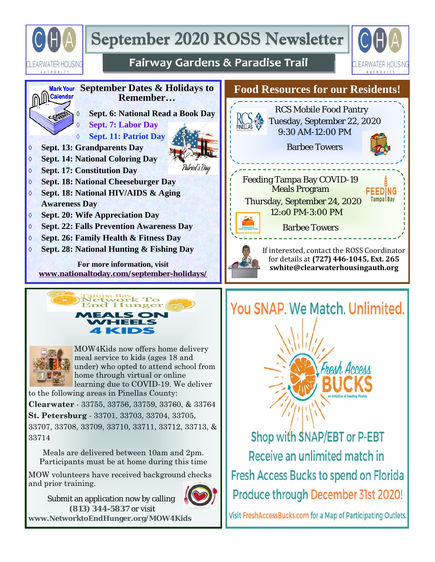

# September 2020 ROSS Newsletter



**FEEDING Tampa** Bay

## **Fairway Gardens & Paradise Trail**





MOW4Kids now offers home delivery meal service to kids (ages 18 and under) who opted to attend school from home through virtual or online learning due to COVID-19. We deliver to the following areas in Pinellas County:

**Clearwater** - 33755, 33756, 33759, 33760, & 33764 **St. Petersburg** - 33701, 33703, 33704, 33705, 33707, 33708, 33709, 33710, 33711, 33712, 33713, & 33714

Meals are delivered between 10am and 2pm. Participants must be at home during this time

MOW volunteers have received background checks and prior training.

 Submit an application now by calling **(813) 344-5837** or visit



**www.NetworktoEndHunger.org/MOW4Kids**



Shop with SNAP/EBT or P-EBT Receive an unlimited match in **Fresh Access Bucks to spend on Florida** Produce through December 31st 2020!

Visit FreshAccessBucks.com for a Map of Participating Outlets.